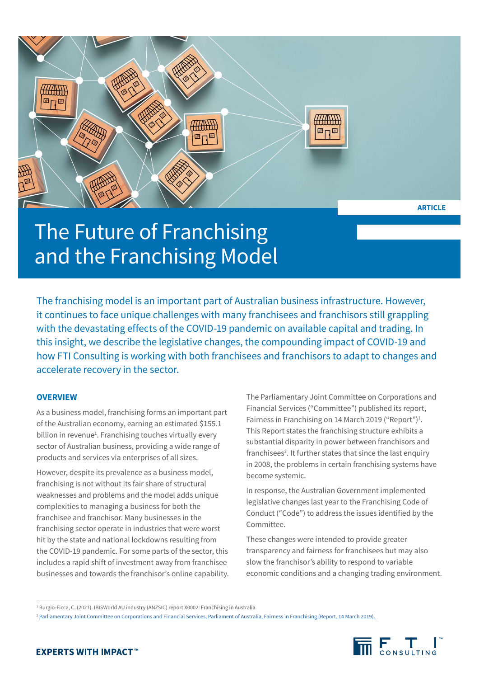

The Future of Franchising and the Franchising Model

The franchising model is an important part of Australian business infrastructure. However, it continues to face unique challenges with many franchisees and franchisors still grappling with the devastating effects of the COVID-19 pandemic on available capital and trading. In this insight, we describe the legislative changes, the compounding impact of COVID-19 and how FTI Consulting is working with both franchisees and franchisors to adapt to changes and accelerate recovery in the sector.

# **OVERVIEW**

As a business model, franchising forms an important part of the Australian economy, earning an estimated \$155.1 billion in revenue<sup>1</sup>. Franchising touches virtually every sector of Australian business, providing a wide range of products and services via enterprises of all sizes.

However, despite its prevalence as a business model, franchising is not without its fair share of structural weaknesses and problems and the model adds unique complexities to managing a business for both the franchisee and franchisor. Many businesses in the franchising sector operate in industries that were worst hit by the state and national lockdowns resulting from the COVID-19 pandemic. For some parts of the sector, this includes a rapid shift of investment away from franchisee businesses and towards the franchisor's online capability. The Parliamentary Joint Committee on Corporations and Financial Services ("Committee") published its report, Fairness in Franchising on 14 March 2019 ("Report")<sup>1</sup>. This Report states the franchising structure exhibits a substantial disparity in power between franchisors and franchisees<sup>2</sup>. It further states that since the last enquiry in 2008, the problems in certain franchising systems have become systemic.

In response, the Australian Government implemented legislative changes last year to the Franchising Code of Conduct ("Code") to address the issues identified by the Committee.

These changes were intended to provide greater transparency and fairness for franchisees but may also slow the franchisor's ability to respond to variable economic conditions and a changing trading environment.

<sup>2</sup> Parliamentary Joint Committee on Corporations and Financial Services, Parliament of Australia, Fairness in Franchising (Report, 14 March 2019).



<sup>1</sup> Burgio-Ficca, C. (2021). IBISWorld AU industry (ANZSIC) report X0002: Franchising in Australia.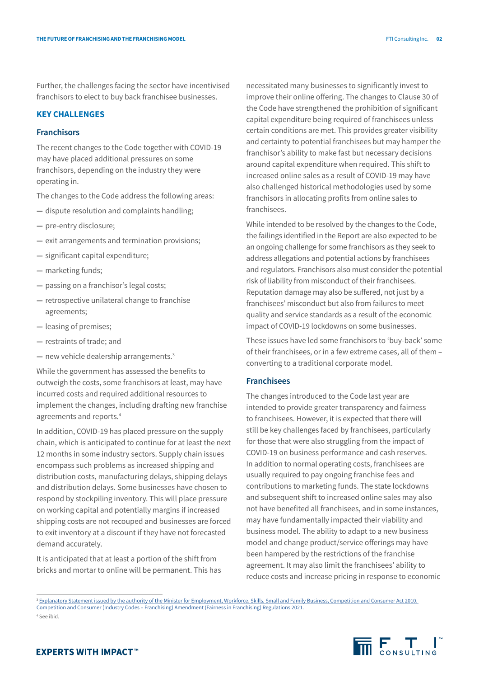Further, the challenges facing the sector have incentivised franchisors to elect to buy back franchisee businesses.

## **KEY CHALLENGES**

## **Franchisors**

The recent changes to the Code together with COVID-19 may have placed additional pressures on some franchisors, depending on the industry they were operating in.

The changes to the Code address the following areas:

- **—** dispute resolution and complaints handling;
- **—** pre-entry disclosure;
- **—** exit arrangements and termination provisions;
- **—** significant capital expenditure;
- **—** marketing funds;
- **—** passing on a franchisor's legal costs;
- **—** retrospective unilateral change to franchise agreements;
- **—** leasing of premises;
- **—** restraints of trade; and
- **—** new vehicle dealership arrangements.3

While the government has assessed the benefits to outweigh the costs, some franchisors at least, may have incurred costs and required additional resources to implement the changes, including drafting new franchise agreements and reports.4

In addition, COVID-19 has placed pressure on the supply chain, which is anticipated to continue for at least the next 12 months in some industry sectors. Supply chain issues encompass such problems as increased shipping and distribution costs, manufacturing delays, shipping delays and distribution delays. Some businesses have chosen to respond by stockpiling inventory. This will place pressure on working capital and potentially margins if increased shipping costs are not recouped and businesses are forced to exit inventory at a discount if they have not forecasted demand accurately.

It is anticipated that at least a portion of the shift from bricks and mortar to online will be permanent. This has

necessitated many businesses to significantly invest to improve their online offering. The changes to Clause 30 of the Code have strengthened the prohibition of significant capital expenditure being required of franchisees unless certain conditions are met. This provides greater visibility and certainty to potential franchisees but may hamper the franchisor's ability to make fast but necessary decisions around capital expenditure when required. This shift to increased online sales as a result of COVID-19 may have also challenged historical methodologies used by some franchisors in allocating profits from online sales to franchisees.

While intended to be resolved by the changes to the Code, the failings identified in the Report are also expected to be an ongoing challenge for some franchisors as they seek to address allegations and potential actions by franchisees and regulators. Franchisors also must consider the potential risk of liability from misconduct of their franchisees. Reputation damage may also be suffered, not just by a franchisees' misconduct but also from failures to meet quality and service standards as a result of the economic impact of COVID-19 lockdowns on some businesses.

These issues have led some franchisors to 'buy-back' some of their franchisees, or in a few extreme cases, all of them – converting to a traditional corporate model.

## **Franchisees**

The changes introduced to the Code last year are intended to provide greater transparency and fairness to franchisees. However, it is expected that there will still be key challenges faced by franchisees, particularly for those that were also struggling from the impact of COVID-19 on business performance and cash reserves. In addition to normal operating costs, franchisees are usually required to pay ongoing franchise fees and contributions to marketing funds. The state lockdowns and subsequent shift to increased online sales may also not have benefited all franchisees, and in some instances, may have fundamentally impacted their viability and business model. The ability to adapt to a new business model and change product/service offerings may have been hampered by the restrictions of the franchise agreement. It may also limit the franchisees' ability to reduce costs and increase pricing in response to economic

<sup>&</sup>lt;sup>3</sup> Explanatory Statement issued by the authority of the Minister for Employment, Workforce, Skills, Small and Family Business, Competition and Consumer Act 2010, Competition and Consumer (Industry Codes – Franchising) Amendment (Fairness in Franchising) Regulations 2021. 4 See ibid.